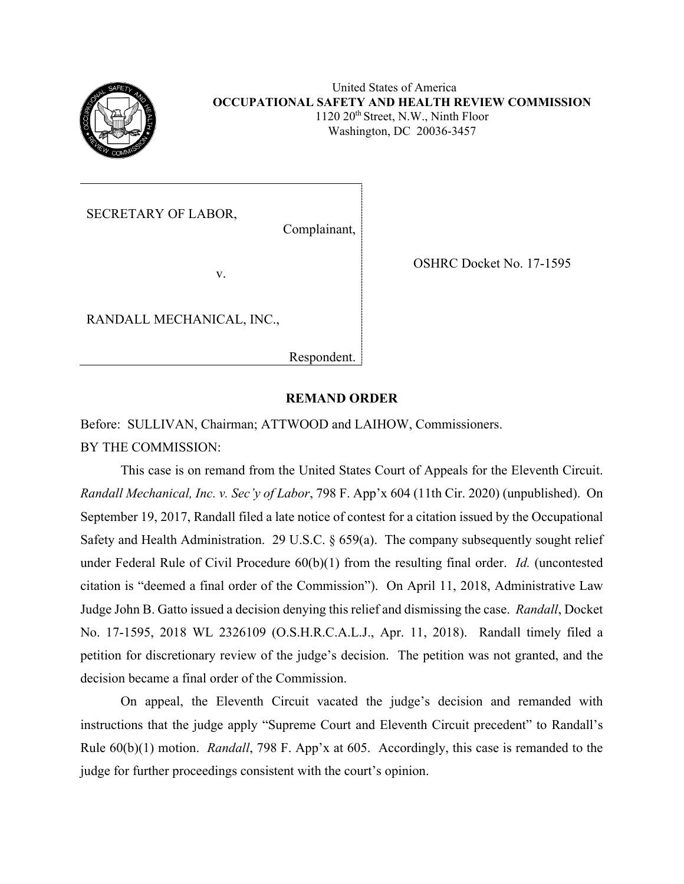

United States of America **OCCUPATIONAL SAFETY AND HEALTH REVIEW COMMISSION**  $1120 \ 20$ <sup>th</sup> Street, N.W., Ninth Floor Washington, DC 20036-3457

SECRETARY OF LABOR,

Complainant,

v.

OSHRC Docket No. 17-1595

RANDALL MECHANICAL, INC.,

Respondent.

## **REMAND ORDER**

Before: SULLIVAN, Chairman; ATTWOOD and LAIHOW, Commissioners. BY THE COMMISSION:

This case is on remand from the United States Court of Appeals for the Eleventh Circuit. *Randall Mechanical, Inc. v. Sec'y of Labor*, 798 F. App'x 604 (11th Cir. 2020) (unpublished). On September 19, 2017, Randall filed a late notice of contest for a citation issued by the Occupational Safety and Health Administration. 29 U.S.C. § 659(a). The company subsequently sought relief under Federal Rule of Civil Procedure 60(b)(1) from the resulting final order. *Id.* (uncontested citation is "deemed a final order of the Commission"). On April 11, 2018, Administrative Law Judge John B. Gatto issued a decision denying this relief and dismissing the case. *Randall*, Docket No. 17-1595, 2018 WL 2326109 (O.S.H.R.C.A.L.J., Apr. 11, 2018). Randall timely filed a petition for discretionary review of the judge's decision. The petition was not granted, and the decision became a final order of the Commission.

On appeal, the Eleventh Circuit vacated the judge's decision and remanded with instructions that the judge apply "Supreme Court and Eleventh Circuit precedent" to Randall's Rule 60(b)(1) motion. *Randall*, 798 F. App'x at 605. Accordingly, this case is remanded to the judge for further proceedings consistent with the court's opinion.